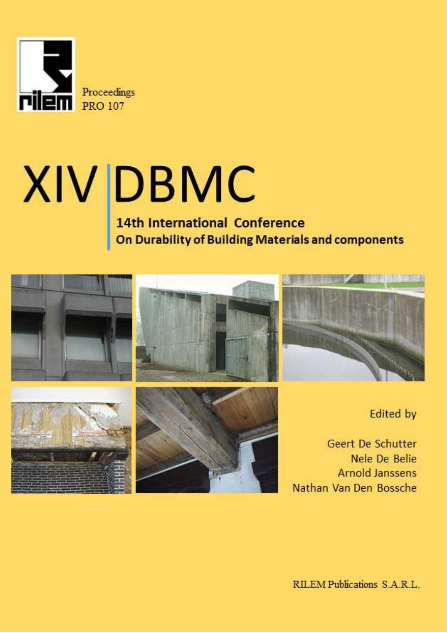

# $XIV$  DBMC<br>14th International Conference<br>On Durability of Building Materials and components

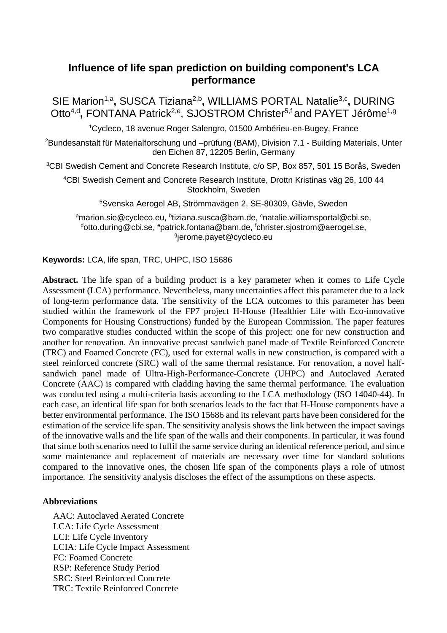# **Influence of life span prediction on building component's LCA performance**

SIE Marion<sup>1,a</sup>, SUSCA Tiziana<sup>2,b</sup>, WILLIAMS PORTAL Natalie<sup>3,c</sup>, DURING Otto<sup>4,d</sup>, FONTANA Patrick<sup>2,e</sup>, SJOSTROM Christer<sup>5,f</sup> and PAYET Jérôme<sup>1,g</sup>

<sup>1</sup>Cycleco, 18 avenue Roger Salengro, 01500 Ambérieu-en-Bugey, France

<sup>2</sup>Bundesanstalt für Materialforschung und –prüfung (BAM), Division 7.1 - Building Materials, Unter den Eichen 87, 12205 Berlin, Germany

<sup>3</sup>CBI Swedish Cement and Concrete Research Institute, c/o SP, Box 857, 501 15 Borås, Sweden

<sup>4</sup>CBI Swedish Cement and Concrete Research Institute, Drottn Kristinas väg 26, 100 44 Stockholm, Sweden

<sup>5</sup>Svenska Aerogel AB, Strömmavägen 2, SE-80309, Gävle, Sweden

<sup>a</sup>marion.sie@cycleco.eu, <sup>b</sup>tiziana.susca@bam.de, <sup>c</sup>natalie.williamsportal@cbi.se,  $d$ otto.during@cbi.se,  $e$ patrick.fontana@bam.de,  $f$ christer.siostrom@aerogel.se, g jerome.payet@cycleco.eu

**Keywords:** LCA, life span, TRC, UHPC, ISO 15686

**Abstract.** The life span of a building product is a key parameter when it comes to Life Cycle Assessment (LCA) performance. Nevertheless, many uncertainties affect this parameter due to a lack of long-term performance data. The sensitivity of the LCA outcomes to this parameter has been studied within the framework of the FP7 project H-House (Healthier Life with Eco-innovative Components for Housing Constructions) funded by the European Commission. The paper features two comparative studies conducted within the scope of this project: one for new construction and another for renovation. An innovative precast sandwich panel made of Textile Reinforced Concrete (TRC) and Foamed Concrete (FC), used for external walls in new construction, is compared with a steel reinforced concrete (SRC) wall of the same thermal resistance. For renovation, a novel halfsandwich panel made of Ultra-High-Performance-Concrete (UHPC) and Autoclaved Aerated Concrete (AAC) is compared with cladding having the same thermal performance. The evaluation was conducted using a multi-criteria basis according to the LCA methodology (ISO 14040-44). In each case, an identical life span for both scenarios leads to the fact that H-House components have a better environmental performance. The ISO 15686 and its relevant parts have been considered for the estimation of the service life span. The sensitivity analysis shows the link between the impact savings of the innovative walls and the life span of the walls and their components. In particular, it was found that since both scenarios need to fulfil the same service during an identical reference period, and since some maintenance and replacement of materials are necessary over time for standard solutions compared to the innovative ones, the chosen life span of the components plays a role of utmost importance. The sensitivity analysis discloses the effect of the assumptions on these aspects.

# **Abbreviations**

AAC: Autoclaved Aerated Concrete LCA: Life Cycle Assessment LCI: Life Cycle Inventory LCIA: Life Cycle Impact Assessment FC: Foamed Concrete RSP: Reference Study Period SRC: Steel Reinforced Concrete TRC: Textile Reinforced Concrete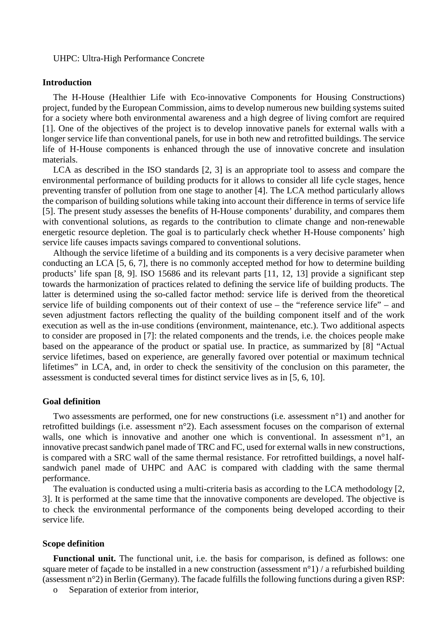### UHPC: Ultra-High Performance Concrete

### **Introduction**

The H-House (Healthier Life with Eco-innovative Components for Housing Constructions) project, funded by the European Commission, aims to develop numerous new building systems suited for a society where both environmental awareness and a high degree of living comfort are required [1]. One of the objectives of the project is to develop innovative panels for external walls with a longer service life than conventional panels, for use in both new and retrofitted buildings. The service life of H-House components is enhanced through the use of innovative concrete and insulation materials.

LCA as described in the ISO standards [2, 3] is an appropriate tool to assess and compare the environmental performance of building products for it allows to consider all life cycle stages, hence preventing transfer of pollution from one stage to another [4]. The LCA method particularly allows the comparison of building solutions while taking into account their difference in terms of service life [5]. The present study assesses the benefits of H-House components' durability, and compares them with conventional solutions, as regards to the contribution to climate change and non-renewable energetic resource depletion. The goal is to particularly check whether H-House components' high service life causes impacts savings compared to conventional solutions.

Although the service lifetime of a building and its components is a very decisive parameter when conducting an LCA [5, 6, 7], there is no commonly accepted method for how to determine building products' life span [8, 9]. ISO 15686 and its relevant parts [11, 12, 13] provide a significant step towards the harmonization of practices related to defining the service life of building products. The latter is determined using the so-called factor method: service life is derived from the theoretical service life of building components out of their context of use – the "reference service life" – and seven adjustment factors reflecting the quality of the building component itself and of the work execution as well as the in-use conditions (environment, maintenance, etc.). Two additional aspects to consider are proposed in [7]: the related components and the trends, i.e. the choices people make based on the appearance of the product or spatial use. In practice, as summarized by [8] "Actual service lifetimes, based on experience, are generally favored over potential or maximum technical lifetimes" in LCA, and, in order to check the sensitivity of the conclusion on this parameter, the assessment is conducted several times for distinct service lives as in [5, 6, 10].

### **Goal definition**

Two assessments are performed, one for new constructions (i.e. assessment n°1) and another for retrofitted buildings (i.e. assessment n°2). Each assessment focuses on the comparison of external walls, one which is innovative and another one which is conventional. In assessment  $n^{\circ}1$ , an innovative precast sandwich panel made of TRC and FC, used for external walls in new constructions, is compared with a SRC wall of the same thermal resistance. For retrofitted buildings, a novel halfsandwich panel made of UHPC and AAC is compared with cladding with the same thermal performance.

The evaluation is conducted using a multi-criteria basis as according to the LCA methodology [2, 3]. It is performed at the same time that the innovative components are developed. The objective is to check the environmental performance of the components being developed according to their service life.

### **Scope definition**

**Functional unit.** The functional unit, i.e. the basis for comparison, is defined as follows: one square meter of façade to be installed in a new construction (assessment n°1) / a refurbished building (assessment n°2) in Berlin (Germany). The facade fulfills the following functions during a given RSP:

o Separation of exterior from interior,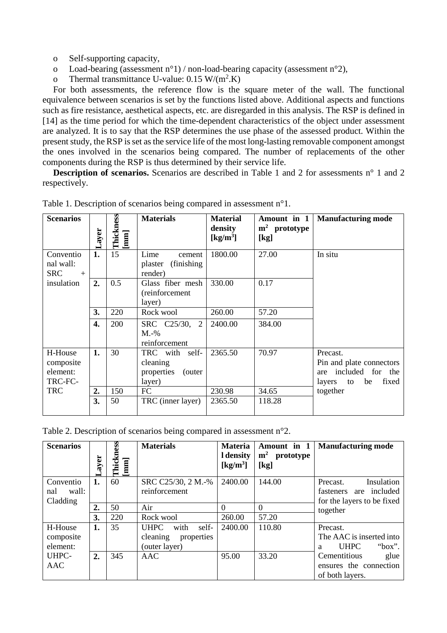- o Self-supporting capacity,
- o Load-bearing (assessment n°1) / non-load-bearing capacity (assessment n°2),
- o Thermal transmittance U-value:  $0.15 \text{ W/(m}^2 \text{K})$

For both assessments, the reference flow is the square meter of the wall. The functional equivalence between scenarios is set by the functions listed above. Additional aspects and functions such as fire resistance, aesthetical aspects, etc. are disregarded in this analysis. The RSP is defined in [14] as the time period for which the time-dependent characteristics of the object under assessment are analyzed. It is to say that the RSP determines the use phase of the assessed product. Within the present study, the RSP is set as the service life of the most long-lasting removable component amongst the ones involved in the scenarios being compared. The number of replacements of the other components during the RSP is thus determined by their service life.

**Description of scenarios.** Scenarios are described in Table 1 and 2 for assessments n° 1 and 2 respectively.

| <b>Scenarios</b>                            | ayer. | <b>Thickness</b><br>[mm] | <b>Materials</b>                                              | <b>Material</b><br>density<br>$\left[\mathrm{kg/m^3}\right]$ | Amount in 1<br>$m2$ prototype<br>[kg] | <b>Manufacturing mode</b>                                                             |
|---------------------------------------------|-------|--------------------------|---------------------------------------------------------------|--------------------------------------------------------------|---------------------------------------|---------------------------------------------------------------------------------------|
| Conventio<br>nal wall:<br><b>SRC</b><br>$+$ | 1.    | 15                       | Lime<br>cement<br>(finishing)<br>plaster<br>render)           | 1800.00                                                      | 27.00                                 | In situ                                                                               |
| insulation                                  | 2.    | 0.5                      | Glass fiber mesh<br>(reinforcement<br>layer)                  | 330.00                                                       | 0.17                                  |                                                                                       |
|                                             | 3.    | 220                      | Rock wool                                                     | 260.00                                                       | 57.20                                 |                                                                                       |
|                                             | 4.    | 200                      | SRC C25/30, 2<br>$M.-\%$<br>reinforcement                     | 2400.00                                                      | 384.00                                |                                                                                       |
| H-House<br>composite<br>element:<br>TRC-FC- | 1.    | 30                       | TRC with self-<br>cleaning<br>properties<br>(outer)<br>layer) | 2365.50                                                      | 70.97                                 | Precast.<br>Pin and plate connectors<br>are included for the<br>layers to be<br>fixed |
| <b>TRC</b>                                  | 2.    | 150                      | FC                                                            | 230.98                                                       | 34.65                                 | together                                                                              |
|                                             | 3.    | 50                       | TRC (inner layer)                                             | 2365.50                                                      | 118.28                                |                                                                                       |

|  |  | Table 1. Description of scenarios being compared in assessment $n^{\circ}1$ . |
|--|--|-------------------------------------------------------------------------------|
|  |  |                                                                               |

Table 2. Description of scenarios being compared in assessment n°2.

| <b>Scenarios</b> | ayer | ess<br>Thickne<br>$[mm] % \begin{minipage}[b]{0.4\linewidth} \centering \includegraphics[width=\textwidth]{figs/fig_10.pdf} \centering \includegraphics[width=\textwidth]{figs/fig_10.pdf} \centering \includegraphics[width=\textwidth]{figs/fig_10.pdf} \centering \includegraphics[width=\textwidth]{figs/fig_10.pdf} \centering \includegraphics[width=\textwidth]{figs/fig_10.pdf} \centering \includegraphics[width=\textwidth]{figs/fig_10.pdf} \centering \includegraphics[width=\textwidth]{figs/fig_10.pdf} \centering \includegraphics[width=\textwidth]{figs/fig_10.pdf} \centering \includegraphics[width=\textwidth]{figs/fig_10.pdf} \centering \includegraphics[width=\textwidth]{$ | <b>Materials</b>             | <b>Materia</b><br>I density<br>$\left[\mathrm{kg/m^3}\right]$ | Amount in 1<br>m <sup>2</sup><br>prototype<br>[kg] | <b>Manufacturing mode</b>  |
|------------------|------|-----------------------------------------------------------------------------------------------------------------------------------------------------------------------------------------------------------------------------------------------------------------------------------------------------------------------------------------------------------------------------------------------------------------------------------------------------------------------------------------------------------------------------------------------------------------------------------------------------------------------------------------------------------------------------------------------------|------------------------------|---------------------------------------------------------------|----------------------------------------------------|----------------------------|
| Conventio        | 1.   | 60                                                                                                                                                                                                                                                                                                                                                                                                                                                                                                                                                                                                                                                                                                  | SRC C25/30, 2 M.-%           | 2400.00                                                       | 144.00                                             | Insulation<br>Precast.     |
| wall:<br>nal     |      |                                                                                                                                                                                                                                                                                                                                                                                                                                                                                                                                                                                                                                                                                                     | reinforcement                |                                                               |                                                    | are included<br>fasteners  |
| Cladding         |      |                                                                                                                                                                                                                                                                                                                                                                                                                                                                                                                                                                                                                                                                                                     |                              |                                                               |                                                    | for the layers to be fixed |
|                  | 2.   | 50                                                                                                                                                                                                                                                                                                                                                                                                                                                                                                                                                                                                                                                                                                  | Air                          | $\Omega$                                                      | $\Omega$                                           | together                   |
|                  | 3.   | 220                                                                                                                                                                                                                                                                                                                                                                                                                                                                                                                                                                                                                                                                                                 | Rock wool                    | 260.00                                                        | 57.20                                              |                            |
| H-House          | 1.   | 35                                                                                                                                                                                                                                                                                                                                                                                                                                                                                                                                                                                                                                                                                                  | self-<br>with<br><b>UHPC</b> | 2400.00                                                       | 110.80                                             | Precast.                   |
| composite        |      |                                                                                                                                                                                                                                                                                                                                                                                                                                                                                                                                                                                                                                                                                                     | cleaning<br>properties       |                                                               |                                                    | The AAC is inserted into   |
| element:         |      |                                                                                                                                                                                                                                                                                                                                                                                                                                                                                                                                                                                                                                                                                                     | (outer layer)                |                                                               |                                                    | "box".<br><b>UHPC</b><br>a |
| UHPC-            | 2.   | 345                                                                                                                                                                                                                                                                                                                                                                                                                                                                                                                                                                                                                                                                                                 | AAC                          | 95.00                                                         | 33.20                                              | Cementitious<br>glue       |
| AAC              |      |                                                                                                                                                                                                                                                                                                                                                                                                                                                                                                                                                                                                                                                                                                     |                              |                                                               |                                                    | ensures the connection     |
|                  |      |                                                                                                                                                                                                                                                                                                                                                                                                                                                                                                                                                                                                                                                                                                     |                              |                                                               |                                                    | of both layers.            |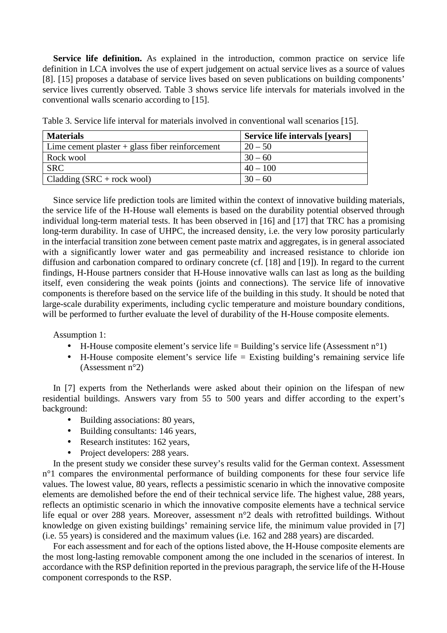**Service life definition.** As explained in the introduction, common practice on service life definition in LCA involves the use of expert judgement on actual service lives as a source of values [8]. [15] proposes a database of service lives based on seven publications on building components' service lives currently observed. Table 3 shows service life intervals for materials involved in the conventional walls scenario according to [15].

| <b>Materials</b>                                  | Service life intervals [years] |
|---------------------------------------------------|--------------------------------|
| Lime cement plaster $+$ glass fiber reinforcement | $20 - 50$                      |
| Rock wool                                         | $30 - 60$                      |
| <b>SRC</b>                                        | $40 - 100$                     |
| $\vert$ Cladding (SRC + rock wool)                | $30 - 60$                      |

Table 3. Service life interval for materials involved in conventional wall scenarios [15].

Since service life prediction tools are limited within the context of innovative building materials, the service life of the H-House wall elements is based on the durability potential observed through individual long-term material tests. It has been observed in [16] and [17] that TRC has a promising long-term durability. In case of UHPC, the increased density, i.e. the very low porosity particularly in the interfacial transition zone between cement paste matrix and aggregates, is in general associated with a significantly lower water and gas permeability and increased resistance to chloride ion diffusion and carbonation compared to ordinary concrete (cf. [18] and [19]). In regard to the current findings, H-House partners consider that H-House innovative walls can last as long as the building itself, even considering the weak points (joints and connections). The service life of innovative components is therefore based on the service life of the building in this study. It should be noted that large-scale durability experiments, including cyclic temperature and moisture boundary conditions, will be performed to further evaluate the level of durability of the H-House composite elements.

Assumption 1:

- H-House composite element's service life = Building's service life (Assessment  $n^{\circ}1$ )
- H-House composite element's service life = Existing building's remaining service life (Assessment n°2)

In [7] experts from the Netherlands were asked about their opinion on the lifespan of new residential buildings. Answers vary from 55 to 500 years and differ according to the expert's background:

- Building associations: 80 years,
- Building consultants: 146 years,
- Research institutes: 162 years,
- Project developers: 288 years.

In the present study we consider these survey's results valid for the German context. Assessment n<sup>o</sup>1 compares the environmental performance of building components for these four service life values. The lowest value, 80 years, reflects a pessimistic scenario in which the innovative composite elements are demolished before the end of their technical service life. The highest value, 288 years, reflects an optimistic scenario in which the innovative composite elements have a technical service life equal or over 288 years. Moreover, assessment n°2 deals with retrofitted buildings. Without knowledge on given existing buildings' remaining service life, the minimum value provided in [7] (i.e. 55 years) is considered and the maximum values (i.e. 162 and 288 years) are discarded.

For each assessment and for each of the options listed above, the H-House composite elements are the most long-lasting removable component among the one included in the scenarios of interest. In accordance with the RSP definition reported in the previous paragraph, the service life of the H-House component corresponds to the RSP.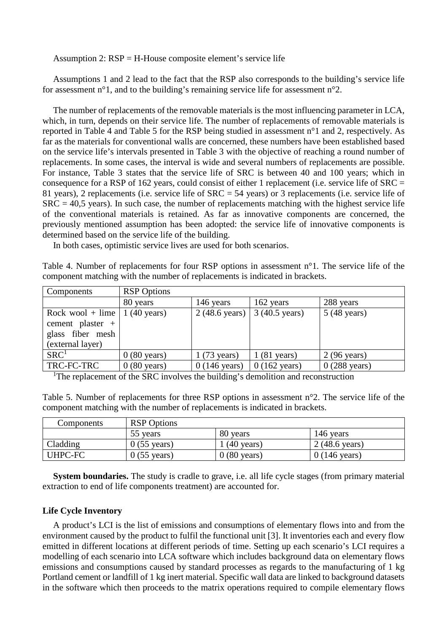Assumption 2: RSP = H-House composite element's service life

Assumptions 1 and 2 lead to the fact that the RSP also corresponds to the building's service life for assessment n°1, and to the building's remaining service life for assessment n°2.

The number of replacements of the removable materials is the most influencing parameter in LCA, which, in turn, depends on their service life. The number of replacements of removable materials is reported in Table 4 and Table 5 for the RSP being studied in assessment n°1 and 2, respectively. As far as the materials for conventional walls are concerned, these numbers have been established based on the service life's intervals presented in Table 3 with the objective of reaching a round number of replacements. In some cases, the interval is wide and several numbers of replacements are possible. For instance, Table 3 states that the service life of SRC is between 40 and 100 years; which in consequence for a RSP of 162 years, could consist of either 1 replacement (i.e. service life of  $SRC =$ 81 years), 2 replacements (i.e. service life of SRC = 54 years) or 3 replacements (i.e. service life of  $SRC = 40.5$  years). In such case, the number of replacements matching with the highest service life of the conventional materials is retained. As far as innovative components are concerned, the previously mentioned assumption has been adopted: the service life of innovative components is determined based on the service life of the building.

In both cases, optimistic service lives are used for both scenarios.

Table 4. Number of replacements for four RSP options in assessment n°1. The service life of the component matching with the number of replacements is indicated in brackets.

| Components       | <b>RSP</b> Options    |                        |                        |                        |
|------------------|-----------------------|------------------------|------------------------|------------------------|
|                  | 80 years              | 146 years              | 162 years              | 288 years              |
| Rock wool + lime | $1(40 \text{ years})$ | 2 (48.6 years)         | 3 (40.5 years)         | $5(48 \text{ years})$  |
| cement plaster + |                       |                        |                        |                        |
| glass fiber mesh |                       |                        |                        |                        |
| (external layer) |                       |                        |                        |                        |
| SRC <sup>1</sup> | $0(80 \text{ years})$ | $1(73 \text{ years})$  | $(81 \text{ years})$   | 2 (96 years)           |
| TRC-FC-TRC       | $0(80 \text{ years})$ | $0(146 \text{ years})$ | $0(162 \text{ years})$ | $0(288 \text{ years})$ |

<sup>1</sup>The replacement of the SRC involves the building's demolition and reconstruction

Table 5. Number of replacements for three RSP options in assessment n°2. The service life of the component matching with the number of replacements is indicated in brackets.

| Components | <b>RSP</b> Options    |                       |                        |
|------------|-----------------------|-----------------------|------------------------|
|            | 55 years              | 80 years              | 146 years              |
| Cladding   | $0(55 \text{ years})$ | $(40 \text{ years})$  | 2 (48.6 years)         |
| UHPC-FC    | $0(55 \text{ years})$ | $0(80 \text{ years})$ | $0(146 \text{ years})$ |

**System boundaries.** The study is cradle to grave, i.e. all life cycle stages (from primary material extraction to end of life components treatment) are accounted for.

### **Life Cycle Inventory**

A product's LCI is the list of emissions and consumptions of elementary flows into and from the environment caused by the product to fulfil the functional unit [3]. It inventories each and every flow emitted in different locations at different periods of time. Setting up each scenario's LCI requires a modelling of each scenario into LCA software which includes background data on elementary flows emissions and consumptions caused by standard processes as regards to the manufacturing of 1 kg Portland cement or landfill of 1 kg inert material. Specific wall data are linked to background datasets in the software which then proceeds to the matrix operations required to compile elementary flows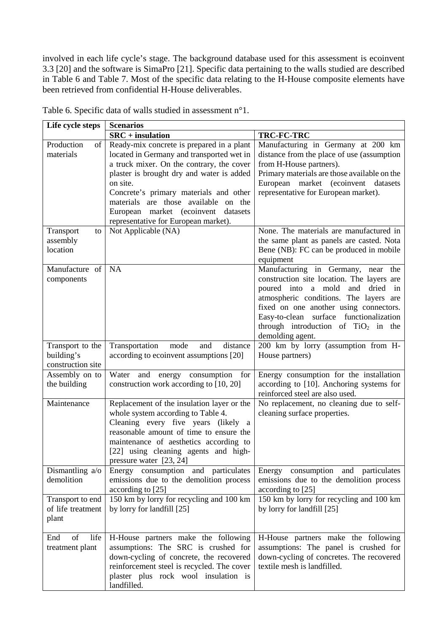involved in each life cycle's stage. The background database used for this assessment is ecoinvent 3.3 [20] and the software is SimaPro [21]. Specific data pertaining to the walls studied are described in Table 6 and Table 7. Most of the specific data relating to the H-House composite elements have been retrieved from confidential H-House deliverables.

| Life cycle steps                                    | <b>Scenarios</b>                                                                                                                                                                                                                                                                                                                                                                     |                                                                                                                                                                                                                                                                                                                       |
|-----------------------------------------------------|--------------------------------------------------------------------------------------------------------------------------------------------------------------------------------------------------------------------------------------------------------------------------------------------------------------------------------------------------------------------------------------|-----------------------------------------------------------------------------------------------------------------------------------------------------------------------------------------------------------------------------------------------------------------------------------------------------------------------|
|                                                     | $SRC + insulation$                                                                                                                                                                                                                                                                                                                                                                   | TRC-FC-TRC                                                                                                                                                                                                                                                                                                            |
| Production<br>of<br>materials<br>Transport<br>to    | Ready-mix concrete is prepared in a plant<br>located in Germany and transported wet in<br>a truck mixer. On the contrary, the cover<br>plaster is brought dry and water is added<br>on site.<br>Concrete's primary materials and other<br>materials are those available on the<br>European market (ecoinvent datasets<br>representative for European market).<br>Not Applicable (NA) | Manufacturing in Germany at 200 km<br>distance from the place of use (assumption<br>from H-House partners).<br>Primary materials are those available on the<br>European market (ecoinvent datasets<br>representative for European market).<br>None. The materials are manufactured in                                 |
| assembly<br>location                                |                                                                                                                                                                                                                                                                                                                                                                                      | the same plant as panels are casted. Nota<br>Bene (NB): FC can be produced in mobile<br>equipment                                                                                                                                                                                                                     |
| Manufacture of<br>components                        | <b>NA</b>                                                                                                                                                                                                                                                                                                                                                                            | Manufacturing in Germany, near the<br>construction site location. The layers are<br>poured into a mold<br>and dried<br>in<br>atmospheric conditions. The layers are<br>fixed on one another using connectors.<br>Easy-to-clean surface functionalization<br>through introduction of $TiO2$ in the<br>demolding agent. |
| Transport to the<br>building's<br>construction site | Transportation<br>mode<br>and<br>distance<br>according to ecoinvent assumptions [20]                                                                                                                                                                                                                                                                                                 | 200 km by lorry (assumption from H-<br>House partners)                                                                                                                                                                                                                                                                |
| Assembly on to<br>the building                      | Water and energy consumption for<br>construction work according to [10, 20]                                                                                                                                                                                                                                                                                                          | Energy consumption for the installation<br>according to [10]. Anchoring systems for<br>reinforced steel are also used.                                                                                                                                                                                                |
| Maintenance                                         | Replacement of the insulation layer or the<br>whole system according to Table 4.<br>Cleaning every five years (likely a<br>reasonable amount of time to ensure the<br>maintenance of aesthetics according to<br>[22] using cleaning agents and high-<br>pressure water [23, 24]                                                                                                      | No replacement, no cleaning due to self-<br>cleaning surface properties.                                                                                                                                                                                                                                              |
| Dismantling a/o<br>demolition                       | Energy consumption and particulates<br>emissions due to the demolition process<br>according to [25]                                                                                                                                                                                                                                                                                  | Energy consumption and particulates<br>emissions due to the demolition process<br>according to [25]                                                                                                                                                                                                                   |
| Transport to end<br>of life treatment<br>plant      | 150 km by lorry for recycling and 100 km<br>by lorry for landfill [25]                                                                                                                                                                                                                                                                                                               | 150 km by lorry for recycling and 100 km<br>by lorry for landfill [25]                                                                                                                                                                                                                                                |
| life<br>End<br>of<br>treatment plant                | H-House partners make the following<br>assumptions: The SRC is crushed for<br>down-cycling of concrete, the recovered<br>reinforcement steel is recycled. The cover<br>plaster plus rock wool insulation is<br>landfilled.                                                                                                                                                           | H-House partners make the following<br>assumptions: The panel is crushed for<br>down-cycling of concretes. The recovered<br>textile mesh is landfilled.                                                                                                                                                               |

Table 6. Specific data of walls studied in assessment n°1.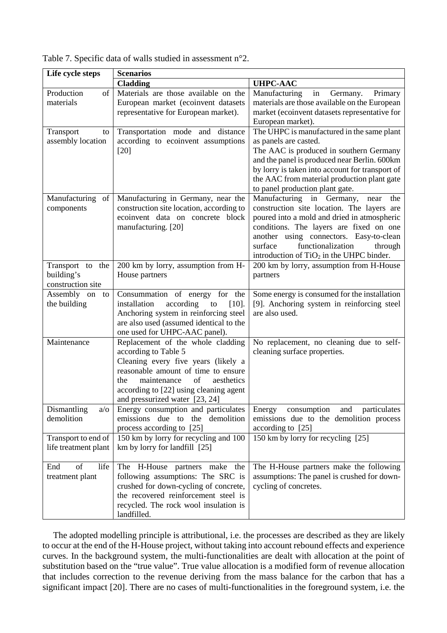| Life cycle steps       | <b>Scenarios</b>                                                         |                                                                                                |
|------------------------|--------------------------------------------------------------------------|------------------------------------------------------------------------------------------------|
|                        | <b>Cladding</b>                                                          | <b>UHPC-AAC</b>                                                                                |
| Production<br>of       | Materials are those available on the                                     | Manufacturing<br>in<br>Germany.<br>Primary                                                     |
| materials              | European market (ecoinvent datasets                                      | materials are those available on the European                                                  |
|                        | representative for European market).                                     | market (ecoinvent datasets representative for                                                  |
|                        |                                                                          | European market).                                                                              |
| Transport<br>to        | Transportation mode and distance                                         | The UHPC is manufactured in the same plant                                                     |
| assembly location      | according to ecoinvent assumptions                                       | as panels are casted.                                                                          |
|                        | $[20]$                                                                   | The AAC is produced in southern Germany                                                        |
|                        |                                                                          | and the panel is produced near Berlin. 600km                                                   |
|                        |                                                                          | by lorry is taken into account for transport of<br>the AAC from material production plant gate |
|                        |                                                                          | to panel production plant gate.                                                                |
| Manufacturing<br>of    | Manufacturing in Germany, near the                                       | Manufacturing in Germany,<br>the<br>near                                                       |
| components             | construction site location, according to                                 | construction site location. The layers are                                                     |
|                        | ecoinvent data on concrete block                                         | poured into a mold and dried in atmospheric                                                    |
|                        | manufacturing. [20]                                                      | conditions. The layers are fixed on one                                                        |
|                        |                                                                          | another using connectors. Easy-to-clean                                                        |
|                        |                                                                          | functionalization<br>surface<br>through                                                        |
|                        |                                                                          | introduction of $TiO2$ in the UHPC binder.                                                     |
| the<br>Transport to    | 200 km by lorry, assumption from H-                                      | 200 km by lorry, assumption from H-House                                                       |
| building's             | House partners                                                           | partners                                                                                       |
| construction site      |                                                                          |                                                                                                |
| Assembly on<br>to      | Consummation of energy for the                                           | Some energy is consumed for the installation                                                   |
| the building           | installation<br>according<br>$[10]$ .<br>to                              | [9]. Anchoring system in reinforcing steel                                                     |
|                        | Anchoring system in reinforcing steel                                    | are also used.                                                                                 |
|                        | are also used (assumed identical to the<br>one used for UHPC-AAC panel). |                                                                                                |
| Maintenance            | Replacement of the whole cladding                                        | No replacement, no cleaning due to self-                                                       |
|                        | according to Table 5                                                     | cleaning surface properties.                                                                   |
|                        | Cleaning every five years (likely a                                      |                                                                                                |
|                        | reasonable amount of time to ensure                                      |                                                                                                |
|                        | of<br>aesthetics<br>maintenance<br>the                                   |                                                                                                |
|                        | according to [22] using cleaning agent                                   |                                                                                                |
|                        | and pressurized water [23, 24]                                           |                                                                                                |
| Dismantling<br>$a$ o   | Energy consumption and particulates                                      | Energy<br>consumption<br>and<br>particulates                                                   |
| demolition             | emissions due to<br>the demolition                                       | emissions due to the demolition process                                                        |
|                        | process according to [25]                                                | according to [25]                                                                              |
| Transport to end of    | 150 km by lorry for recycling and 100                                    | 150 km by lorry for recycling [25]                                                             |
| life treatment plant   | km by lorry for landfill [25]                                            |                                                                                                |
| life<br>of             |                                                                          |                                                                                                |
| End<br>treatment plant | The H-House partners make<br>the<br>following assumptions: The SRC is    | The H-House partners make the following<br>assumptions: The panel is crushed for down-         |
|                        | crushed for down-cycling of concrete,                                    | cycling of concretes.                                                                          |
|                        | the recovered reinforcement steel is                                     |                                                                                                |
|                        | recycled. The rock wool insulation is                                    |                                                                                                |
|                        | landfilled.                                                              |                                                                                                |

Table 7. Specific data of walls studied in assessment n°2.

The adopted modelling principle is attributional, i.e. the processes are described as they are likely to occur at the end of the H-House project, without taking into account rebound effects and experience curves. In the background system, the multi-functionalities are dealt with allocation at the point of substitution based on the "true value". True value allocation is a modified form of revenue allocation that includes correction to the revenue deriving from the mass balance for the carbon that has a significant impact [20]. There are no cases of multi-functionalities in the foreground system, i.e. the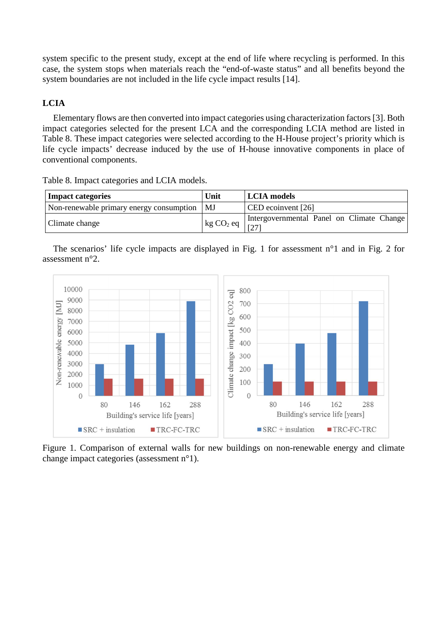system specific to the present study, except at the end of life where recycling is performed. In this case, the system stops when materials reach the "end-of-waste status" and all benefits beyond the system boundaries are not included in the life cycle impact results [14].

# **LCIA**

Elementary flows are then converted into impact categories using characterization factors [3]. Both impact categories selected for the present LCA and the corresponding LCIA method are listed in Table 8. These impact categories were selected according to the H-House project's priority which is life cycle impacts' decrease induced by the use of H-house innovative components in place of conventional components.

| <b>Impact categories</b>                      | Unit                  | <b>LCIA</b> models                        |
|-----------------------------------------------|-----------------------|-------------------------------------------|
| Non-renewable primary energy consumption   MJ |                       | CED ecoinvent [26]                        |
| Climate change                                | kg CO <sub>2</sub> eq | Intergovernmental Panel on Climate Change |

Table 8. Impact categories and LCIA models.

| The scenarios' life cycle impacts are displayed in Fig. 1 for assessment $n^{\circ}1$ and in Fig. 2 for |  |  |  |  |  |  |  |  |
|---------------------------------------------------------------------------------------------------------|--|--|--|--|--|--|--|--|
| assessment $n^{\circ}2$ .                                                                               |  |  |  |  |  |  |  |  |



Figure 1. Comparison of external walls for new buildings on non-renewable energy and climate change impact categories (assessment n°1).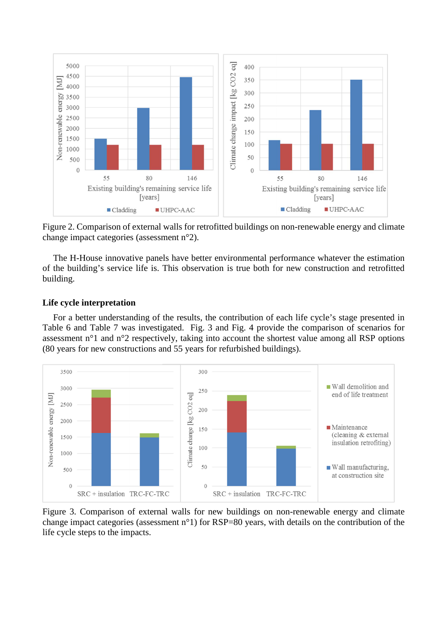

Figure 2. Comparison of external walls for retrofitted buildings on non-renewable energy and climate change impact categories (assessment n°2).

The H-House innovative panels have better environmental performance whatever the estimation of the building's service life is. This observation is true both for new construction and retrofitted building.

# **Life cycle interpretation**

For a better understanding of the results, the contribution of each life cycle's stage presented in Table 6 and Table 7 was investigated. Fig. 3 and Fig. 4 provide the comparison of scenarios for assessment n°1 and n°2 respectively, taking into account the shortest value among all RSP options (80 years for new constructions and 55 years for refurbished buildings).



Figure 3. Comparison of external walls for new buildings on non-renewable energy and climate change impact categories (assessment n°1) for RSP=80 years, with details on the contribution of the life cycle steps to the impacts.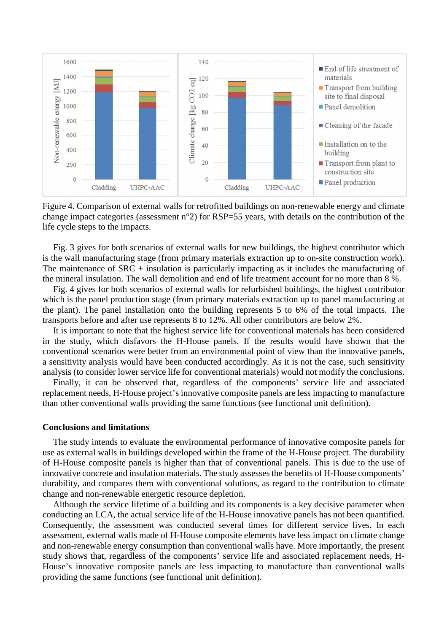

Figure 4. Comparison of external walls for retrofitted buildings on non-renewable energy and climate change impact categories (assessment n°2) for RSP=55 years, with details on the contribution of the life cycle steps to the impacts.

Fig. 3 gives for both scenarios of external walls for new buildings, the highest contributor which is the wall manufacturing stage (from primary materials extraction up to on-site construction work). The maintenance of SRC + insulation is particularly impacting as it includes the manufacturing of the mineral insulation. The wall demolition and end of life treatment account for no more than 8 %.

Fig. 4 gives for both scenarios of external walls for refurbished buildings, the highest contributor which is the panel production stage (from primary materials extraction up to panel manufacturing at the plant). The panel installation onto the building represents 5 to 6% of the total impacts. The transports before and after use represents 8 to 12%. All other contributors are below 2%.

It is important to note that the highest service life for conventional materials has been considered in the study, which disfavors the H-House panels. If the results would have shown that the conventional scenarios were better from an environmental point of view than the innovative panels, a sensitivity analysis would have been conducted accordingly. As it is not the case, such sensitivity analysis (to consider lower service life for conventional materials) would not modify the conclusions.

Finally, it can be observed that, regardless of the components' service life and associated replacement needs, H-House project's innovative composite panels are less impacting to manufacture than other conventional walls providing the same functions (see functional unit definition).

### **Conclusions and limitations**

The study intends to evaluate the environmental performance of innovative composite panels for use as external walls in buildings developed within the frame of the H-House project. The durability of H-House composite panels is higher than that of conventional panels. This is due to the use of innovative concrete and insulation materials. The study assesses the benefits of H-House components' durability, and compares them with conventional solutions, as regard to the contribution to climate change and non-renewable energetic resource depletion.

Although the service lifetime of a building and its components is a key decisive parameter when conducting an LCA, the actual service life of the H-House innovative panels has not been quantified. Consequently, the assessment was conducted several times for different service lives. In each assessment, external walls made of H-House composite elements have less impact on climate change and non-renewable energy consumption than conventional walls have. More importantly, the present study shows that, regardless of the components' service life and associated replacement needs, H-House's innovative composite panels are less impacting to manufacture than conventional walls providing the same functions (see functional unit definition).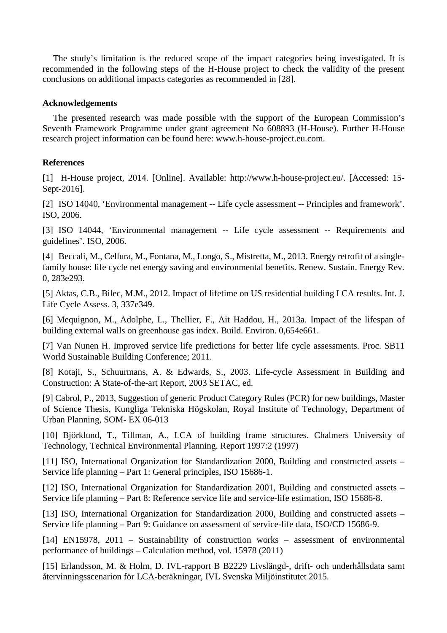The study's limitation is the reduced scope of the impact categories being investigated. It is recommended in the following steps of the H-House project to check the validity of the present conclusions on additional impacts categories as recommended in [28].

# **Acknowledgements**

The presented research was made possible with the support of the European Commission's Seventh Framework Programme under grant agreement No 608893 (H-House). Further H-House research project information can be found here: www.h-house-project.eu.com.

# **References**

[1] H-House project, 2014. [Online]. Available: http://www.h-house-project.eu/. [Accessed: 15- Sept-2016].

[2] ISO 14040, 'Environmental management -- Life cycle assessment -- Principles and framework'. ISO, 2006.

[3] ISO 14044, 'Environmental management -- Life cycle assessment -- Requirements and guidelines'. ISO, 2006.

[4] Beccali, M., Cellura, M., Fontana, M., Longo, S., Mistretta, M., 2013. Energy retrofit of a singlefamily house: life cycle net energy saving and environmental benefits. Renew. Sustain. Energy Rev. 0, 283e293.

[5] Aktas, C.B., Bilec, M.M., 2012. Impact of lifetime on US residential building LCA results. Int. J. Life Cycle Assess. 3, 337e349.

[6] Mequignon, M., Adolphe, L., Thellier, F., Ait Haddou, H., 2013a. Impact of the lifespan of building external walls on greenhouse gas index. Build. Environ. 0,654e661.

[7] Van Nunen H. Improved service life predictions for better life cycle assessments. Proc. SB11 World Sustainable Building Conference; 2011.

[8] Kotaji, S., Schuurmans, A. & Edwards, S., 2003. Life-cycle Assessment in Building and Construction: A State-of-the-art Report, 2003 SETAC, ed.

[9] Cabrol, P., 2013, Suggestion of generic Product Category Rules (PCR) for new buildings, Master of Science Thesis, Kungliga Tekniska Högskolan, Royal Institute of Technology, Department of Urban Planning, SOM- EX 06-013

[10] Björklund, T., Tillman, A., LCA of building frame structures. Chalmers University of Technology, Technical Environmental Planning. Report 1997:2 (1997)

[11] ISO, International Organization for Standardization 2000, Building and constructed assets – Service life planning – Part 1: General principles, ISO 15686-1.

[12] ISO, International Organization for Standardization 2001, Building and constructed assets – Service life planning – Part 8: Reference service life and service-life estimation, ISO 15686-8.

[13] ISO, International Organization for Standardization 2000, Building and constructed assets – Service life planning – Part 9: Guidance on assessment of service-life data, ISO/CD 15686-9.

[14] EN15978, 2011 – Sustainability of construction works – assessment of environmental performance of buildings – Calculation method, vol. 15978 (2011)

[15] Erlandsson, M. & Holm, D. IVL-rapport B B2229 Livslängd-, drift- och underhållsdata samt återvinningsscenarion för LCA-beräkningar, IVL Svenska Miljöinstitutet 2015.